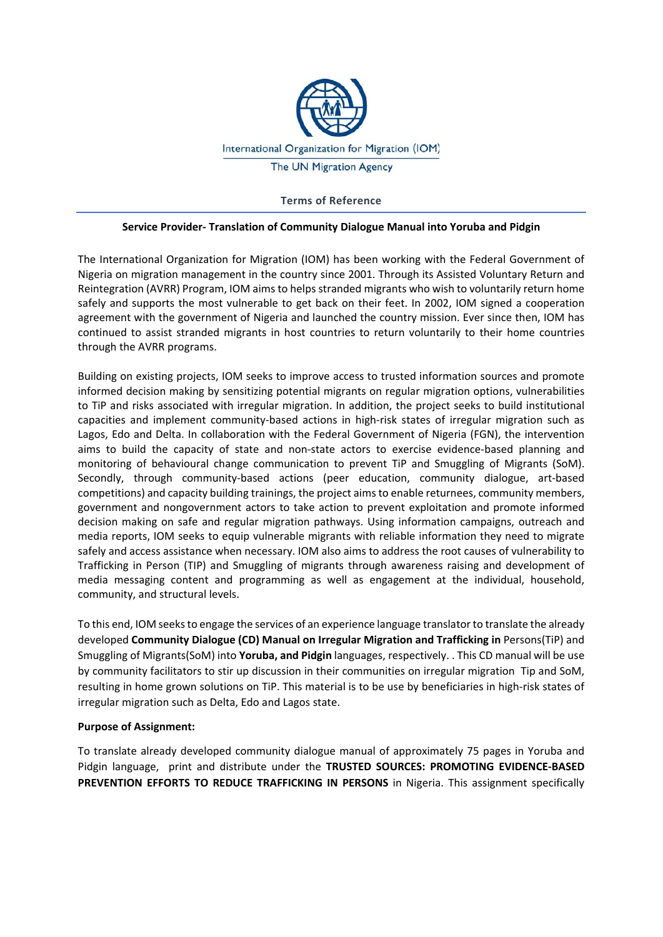

**Terms of Reference** 

### **Service Provider‐ Translation of Community Dialogue Manual into Yoruba and Pidgin**

The International Organization for Migration (IOM) has been working with the Federal Government of Nigeria on migration management in the country since 2001. Through its Assisted Voluntary Return and Reintegration (AVRR) Program, IOM aims to helps stranded migrants who wish to voluntarily return home safely and supports the most vulnerable to get back on their feet. In 2002, IOM signed a cooperation agreement with the government of Nigeria and launched the country mission. Ever since then, IOM has continued to assist stranded migrants in host countries to return voluntarily to their home countries through the AVRR programs.

Building on existing projects, IOM seeks to improve access to trusted information sources and promote informed decision making by sensitizing potential migrants on regular migration options, vulnerabilities to TiP and risks associated with irregular migration. In addition, the project seeks to build institutional capacities and implement community-based actions in high-risk states of irregular migration such as Lagos, Edo and Delta. In collaboration with the Federal Government of Nigeria (FGN), the intervention aims to build the capacity of state and non‐state actors to exercise evidence‐based planning and monitoring of behavioural change communication to prevent TiP and Smuggling of Migrants (SoM). Secondly, through community-based actions (peer education, community dialogue, art-based competitions) and capacity building trainings, the project aims to enable returnees, community members, government and nongovernment actors to take action to prevent exploitation and promote informed decision making on safe and regular migration pathways. Using information campaigns, outreach and media reports, IOM seeks to equip vulnerable migrants with reliable information they need to migrate safely and access assistance when necessary. IOM also aims to address the root causes of vulnerability to Trafficking in Person (TIP) and Smuggling of migrants through awareness raising and development of media messaging content and programming as well as engagement at the individual, household, community, and structural levels.

To this end, IOM seeks to engage the services of an experience language translator to translate the already developed **Community Dialogue (CD) Manual on Irregular Migration and Trafficking in** Persons(TiP) and Smuggling of Migrants(SoM) into **Yoruba, and Pidgin** languages, respectively. . This CD manual will be use by community facilitators to stir up discussion in their communities on irregular migration Tip and SoM, resulting in home grown solutions on TiP. This material is to be use by beneficiaries in high‐risk states of irregular migration such as Delta, Edo and Lagos state.

## **Purpose of Assignment:**

To translate already developed community dialogue manual of approximately 75 pages in Yoruba and Pidgin language, print and distribute under the **TRUSTED SOURCES: PROMOTING EVIDENCE‐BASED PREVENTION EFFORTS TO REDUCE TRAFFICKING IN PERSONS** in Nigeria. This assignment specifically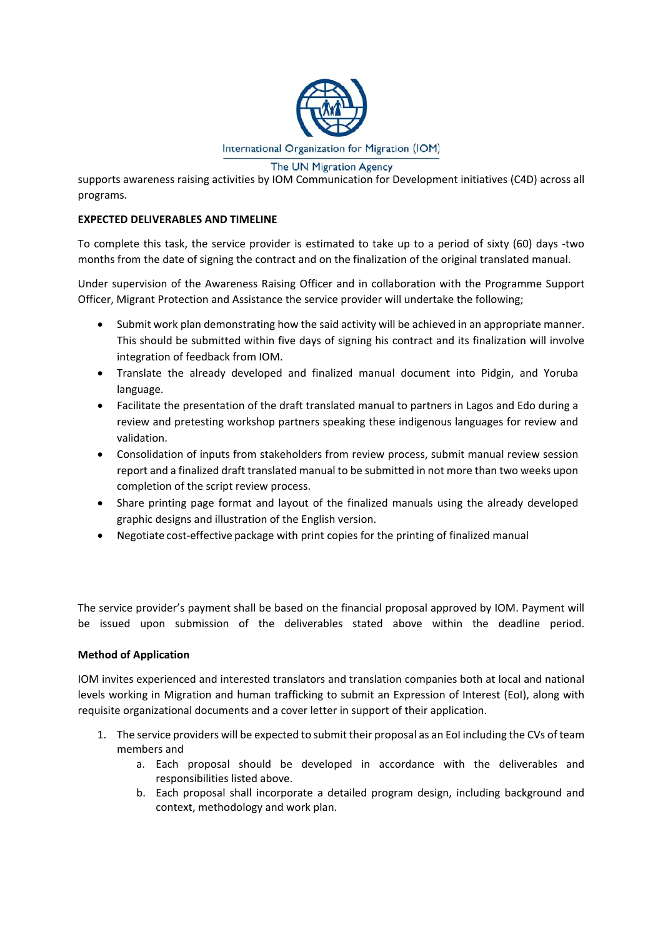

supports awareness raising activities by IOM Communication for Development initiatives (C4D) across all programs.

# **EXPECTED DELIVERABLES AND TIMELINE**

To complete this task, the service provider is estimated to take up to a period of sixty (60) days -two months from the date of signing the contract and on the finalization of the original translated manual.

Under supervision of the Awareness Raising Officer and in collaboration with the Programme Support Officer, Migrant Protection and Assistance the service provider will undertake the following;

- Submit work plan demonstrating how the said activity will be achieved in an appropriate manner. This should be submitted within five days of signing his contract and its finalization will involve integration of feedback from IOM.
- Translate the already developed and finalized manual document into Pidgin, and Yoruba language.
- Facilitate the presentation of the draft translated manual to partners in Lagos and Edo during a review and pretesting workshop partners speaking these indigenous languages for review and validation.
- Consolidation of inputs from stakeholders from review process, submit manual review session report and a finalized draft translated manual to be submitted in not more than two weeks upon completion of the script review process.
- Share printing page format and layout of the finalized manuals using the already developed graphic designs and illustration of the English version.
- Negotiate cost-effective package with print copies for the printing of finalized manual

The service provider's payment shall be based on the financial proposal approved by IOM. Payment will be issued upon submission of the deliverables stated above within the deadline period.

## **Method of Application**

IOM invites experienced and interested translators and translation companies both at local and national levels working in Migration and human trafficking to submit an Expression of Interest (EoI), along with requisite organizational documents and a cover letter in support of their application.

- 1. The service providers will be expected to submit their proposal as an EoI including the CVs of team members and
	- a. Each proposal should be developed in accordance with the deliverables and responsibilities listed above.
	- b. Each proposal shall incorporate a detailed program design, including background and context, methodology and work plan.